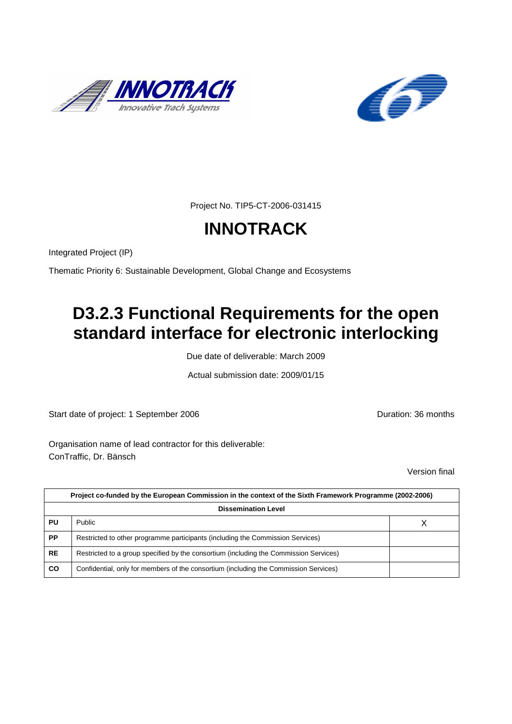



Project No. TIP5-CT-2006-031415

# **INNOTRACK**

Integrated Project (IP)

Thematic Priority 6: Sustainable Development, Global Change and Ecosystems

# **D3.2.3 Functional Requirements for the open standard interface for electronic interlocking**

Due date of deliverable: March 2009

Actual submission date: 2009/01/15

Start date of project: 1 September 2006 **Duration: 36 months** 

Organisation name of lead contractor for this deliverable: ConTraffic, Dr. Bänsch

Version final

|           | Project co-funded by the European Commission in the context of the Sixth Framework Programme (2002-2006) |  |  |  |  |  |
|-----------|----------------------------------------------------------------------------------------------------------|--|--|--|--|--|
|           | <b>Dissemination Level</b>                                                                               |  |  |  |  |  |
| PU        | Public                                                                                                   |  |  |  |  |  |
| <b>PP</b> | Restricted to other programme participants (including the Commission Services)                           |  |  |  |  |  |
| <b>RE</b> | Restricted to a group specified by the consortium (including the Commission Services)                    |  |  |  |  |  |
| <b>CO</b> | Confidential, only for members of the consortium (including the Commission Services)                     |  |  |  |  |  |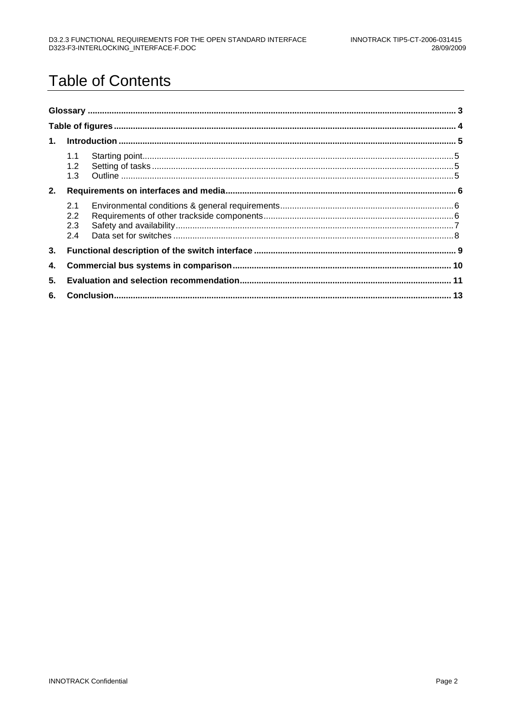# **Table of Contents**

| 1 <sup>1</sup> |                          |  |  |  |  |
|----------------|--------------------------|--|--|--|--|
|                | 1.1<br>1.2<br>1.3        |  |  |  |  |
| 2.             |                          |  |  |  |  |
|                | 2.1<br>2.2<br>2.3<br>2.4 |  |  |  |  |
| 3.             |                          |  |  |  |  |
| 4.             |                          |  |  |  |  |
| 5.             |                          |  |  |  |  |
|                |                          |  |  |  |  |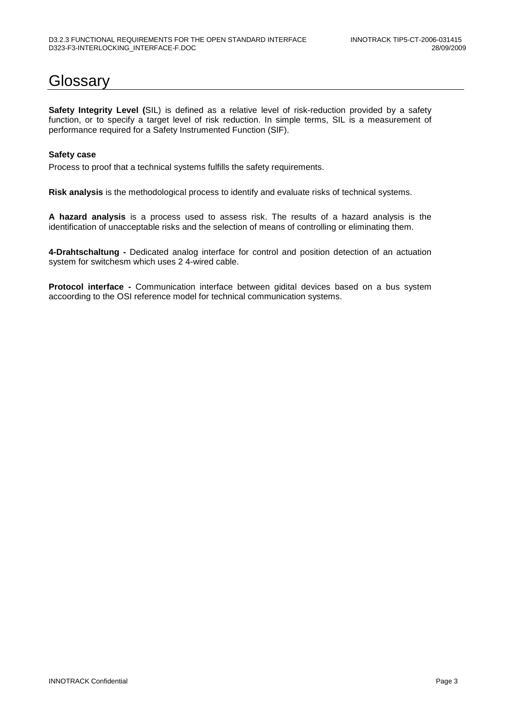### **Glossarv**

**Safety Integrity Level (**SIL) is defined as a relative level of risk-reduction provided by a safety function, or to specify a target level of risk reduction. In simple terms, SIL is a measurement of performance required for a Safety Instrumented Function (SIF).

#### **Safety case**

Process to proof that a technical systems fulfills the safety requirements.

**Risk analysis** is the methodological process to identify and evaluate risks of technical systems.

**A hazard analysis** is a process used to assess risk. The results of a hazard analysis is the identification of unacceptable risks and the selection of means of controlling or eliminating them.

**4-Drahtschaltung -** Dedicated analog interface for control and position detection of an actuation system for switchesm which uses 2 4-wired cable.

**Protocol interface -** Communication interface between gidital devices based on a bus system accoording to the OSI reference model for technical communication systems.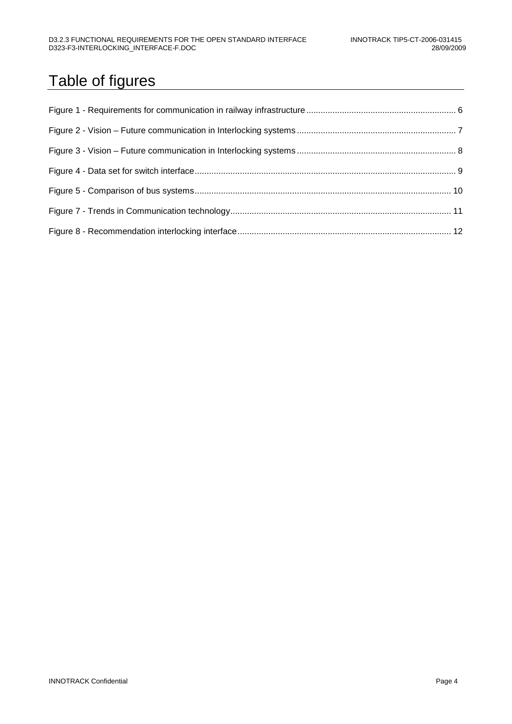# Table of figures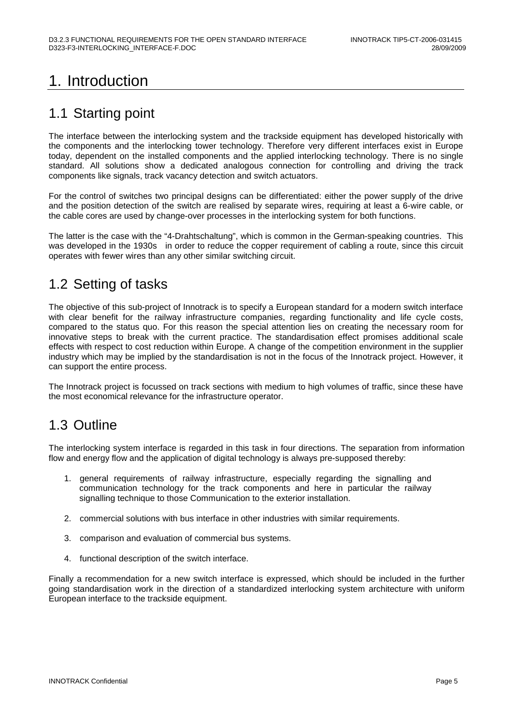## 1. Introduction

#### 1.1 Starting point

The interface between the interlocking system and the trackside equipment has developed historically with the components and the interlocking tower technology. Therefore very different interfaces exist in Europe today, dependent on the installed components and the applied interlocking technology. There is no single standard. All solutions show a dedicated analogous connection for controlling and driving the track components like signals, track vacancy detection and switch actuators.

For the control of switches two principal designs can be differentiated: either the power supply of the drive and the position detection of the switch are realised by separate wires, requiring at least a 6-wire cable, or the cable cores are used by change-over processes in the interlocking system for both functions.

The latter is the case with the "4-Drahtschaltung", which is common in the German-speaking countries. This was developed in the 1930s in order to reduce the copper requirement of cabling a route, since this circuit operates with fewer wires than any other similar switching circuit.

#### 1.2 Setting of tasks

The objective of this sub-project of Innotrack is to specify a European standard for a modern switch interface with clear benefit for the railway infrastructure companies, regarding functionality and life cycle costs, compared to the status quo. For this reason the special attention lies on creating the necessary room for innovative steps to break with the current practice. The standardisation effect promises additional scale effects with respect to cost reduction within Europe. A change of the competition environment in the supplier industry which may be implied by the standardisation is not in the focus of the Innotrack project. However, it can support the entire process.

The Innotrack project is focussed on track sections with medium to high volumes of traffic, since these have the most economical relevance for the infrastructure operator.

### 1.3 Outline

The interlocking system interface is regarded in this task in four directions. The separation from information flow and energy flow and the application of digital technology is always pre-supposed thereby:

- 1. general requirements of railway infrastructure, especially regarding the signalling and communication technology for the track components and here in particular the railway signalling technique to those Communication to the exterior installation.
- 2. commercial solutions with bus interface in other industries with similar requirements.
- 3. comparison and evaluation of commercial bus systems.
- 4. functional description of the switch interface.

Finally a recommendation for a new switch interface is expressed, which should be included in the further going standardisation work in the direction of a standardized interlocking system architecture with uniform European interface to the trackside equipment.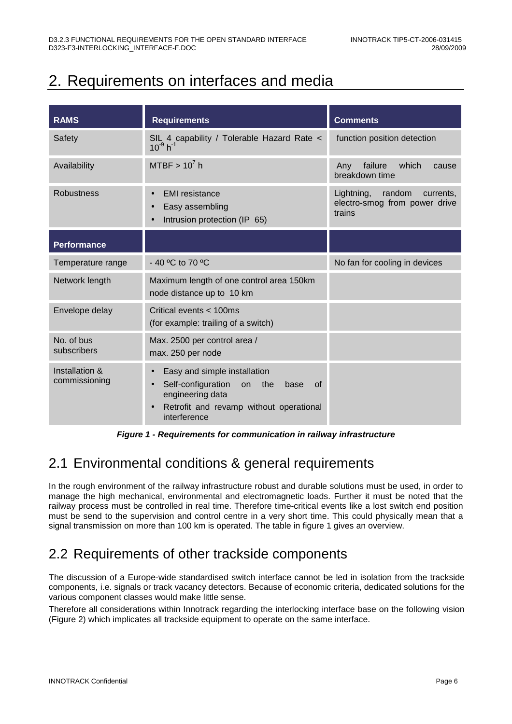### 2. Requirements on interfaces and media

| <b>RAMS</b>                     | <b>Requirements</b>                                                                                                                                                              | <b>Comments</b>                                                              |
|---------------------------------|----------------------------------------------------------------------------------------------------------------------------------------------------------------------------------|------------------------------------------------------------------------------|
| Safety                          | SIL 4 capability / Tolerable Hazard Rate <<br>$10^{-9} h^{-1}$                                                                                                                   | function position detection                                                  |
| Availability                    | MTBF $> 10^7$ h                                                                                                                                                                  | which<br>failure<br>Any<br>cause<br>breakdown time                           |
| <b>Robustness</b>               | <b>EMI</b> resistance<br>$\bullet$<br>Easy assembling<br>Intrusion protection (IP 65)                                                                                            | random<br>Lightning,<br>currents,<br>electro-smog from power drive<br>trains |
| <b>Performance</b>              |                                                                                                                                                                                  |                                                                              |
| Temperature range               | - 40 °C to 70 °C                                                                                                                                                                 | No fan for cooling in devices                                                |
| Network length                  | Maximum length of one control area 150km<br>node distance up to 10 km                                                                                                            |                                                                              |
| Envelope delay                  | Critical events < 100ms<br>(for example: trailing of a switch)                                                                                                                   |                                                                              |
| No. of bus<br>subscribers       | Max. 2500 per control area /<br>max. 250 per node                                                                                                                                |                                                                              |
| Installation &<br>commissioning | Easy and simple installation<br>$\bullet$<br>Self-configuration<br>on<br>the<br><b>base</b><br>0f<br>engineering data<br>Retrofit and revamp without operational<br>interference |                                                                              |

**Figure 1 - Requirements for communication in railway infrastructure** 

### 2.1 Environmental conditions & general requirements

In the rough environment of the railway infrastructure robust and durable solutions must be used, in order to manage the high mechanical, environmental and electromagnetic loads. Further it must be noted that the railway process must be controlled in real time. Therefore time-critical events like a lost switch end position must be send to the supervision and control centre in a very short time. This could physically mean that a signal transmission on more than 100 km is operated. The table in figure 1 gives an overview.

#### 2.2 Requirements of other trackside components

The discussion of a Europe-wide standardised switch interface cannot be led in isolation from the trackside components, i.e. signals or track vacancy detectors. Because of economic criteria, dedicated solutions for the various component classes would make little sense.

Therefore all considerations within Innotrack regarding the interlocking interface base on the following vision (Figure 2) which implicates all trackside equipment to operate on the same interface.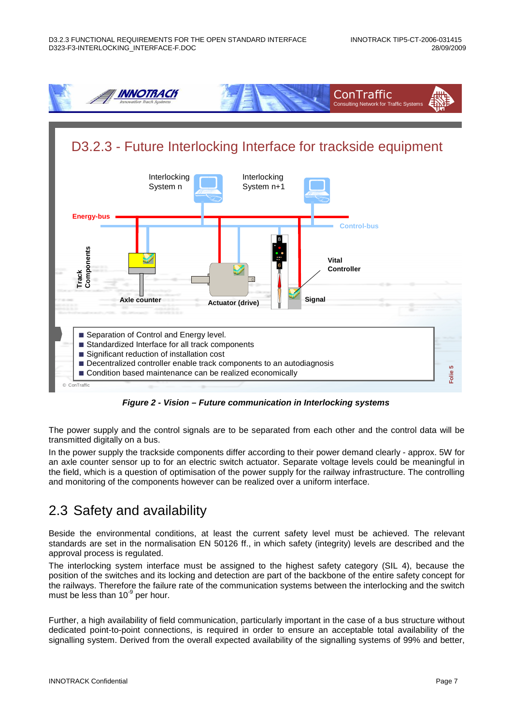



**Figure 2 - Vision – Future communication in Interlocking systems** 

The power supply and the control signals are to be separated from each other and the control data will be transmitted digitally on a bus.

In the power supply the trackside components differ according to their power demand clearly - approx. 5W for an axle counter sensor up to for an electric switch actuator. Separate voltage levels could be meaningful in the field, which is a question of optimisation of the power supply for the railway infrastructure. The controlling and monitoring of the components however can be realized over a uniform interface.

### 2.3 Safety and availability

Beside the environmental conditions, at least the current safety level must be achieved. The relevant standards are set in the normalisation EN 50126 ff., in which safety (integrity) levels are described and the approval process is regulated.

The interlocking system interface must be assigned to the highest safety category (SIL 4), because the position of the switches and its locking and detection are part of the backbone of the entire safety concept for the railways. Therefore the failure rate of the communication systems between the interlocking and the switch must be less than  $10<sup>-9</sup>$  per hour.

Further, a high availability of field communication, particularly important in the case of a bus structure without dedicated point-to-point connections, is required in order to ensure an acceptable total availability of the signalling system. Derived from the overall expected availability of the signalling systems of 99% and better,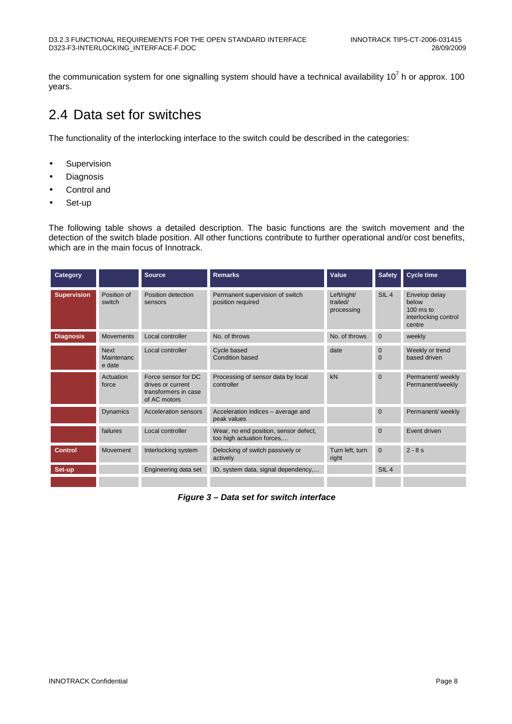the communication system for one signalling system should have a technical availability 10<sup>7</sup> h or approx. 100 years.

#### 2.4 Data set for switches

The functionality of the interlocking interface to the switch could be described in the categories:

- Supervision
- Diagnosis
- Control and
- Set-up

The following table shows a detailed description. The basic functions are the switch movement and the detection of the switch blade position. All other functions contribute to further operational and/or cost benefits, which are in the main focus of Innotrack.

| Category           |                                     | <b>Source</b>                                                                    | <b>Remarks</b>                                                      | Value                                 | <b>Safety</b>            | <b>Cycle time</b>                                                       |
|--------------------|-------------------------------------|----------------------------------------------------------------------------------|---------------------------------------------------------------------|---------------------------------------|--------------------------|-------------------------------------------------------------------------|
| <b>Supervision</b> | Position of<br>switch               | Position detection<br>sensors                                                    | Permanent supervision of switch<br>position required                | Left/right/<br>trailed/<br>processing | SIL <sub>4</sub>         | Envelop delay<br>below<br>$100$ ms to<br>interlocking control<br>centre |
| <b>Diagnosis</b>   | <b>Movements</b>                    | Local controller                                                                 | No. of throws                                                       | No. of throws                         | $\mathbf{0}$             | weekly                                                                  |
|                    | <b>Next</b><br>Maintenanc<br>e date | Local controller                                                                 | Cycle based<br><b>Condition based</b>                               | date                                  | $\mathbf{0}$<br>$\Omega$ | Weekly or trend<br>based driven                                         |
|                    | Actuation<br>force                  | Force sensor for DC<br>drives or current<br>transformers in case<br>of AC motors | Processing of sensor data by local<br>controller                    | kN                                    | $\mathbf{0}$             | Permanent/ weekly<br>Permanent/weekly                                   |
|                    | <b>Dynamics</b>                     | <b>Acceleration sensors</b>                                                      | Acceleration indices - average and<br>peak values                   |                                       | $\mathbf{0}$             | Permanent/ weekly                                                       |
|                    | failures                            | Local controller                                                                 | Wear, no end position, sensor defect,<br>too high actuation forces, |                                       | $\Omega$                 | Event driven                                                            |
| Control            | Movement                            | Interlocking system                                                              | Delocking of switch passively or<br>actively                        | Turn left, turn<br>right              | $\mathbf{0}$             | $2 - 8s$                                                                |
| Set-up             |                                     | Engineering data set                                                             | ID, system data, signal dependency,                                 |                                       | SIL <sub>4</sub>         |                                                                         |
|                    |                                     |                                                                                  |                                                                     |                                       |                          |                                                                         |

**Figure 3 – Data set for switch interface**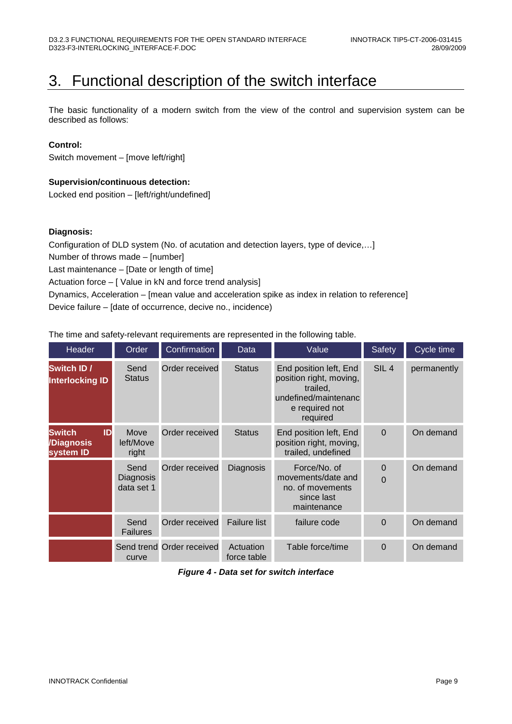## 3. Functional description of the switch interface

The basic functionality of a modern switch from the view of the control and supervision system can be described as follows:

#### **Control:**

Switch movement – [move left/right]

#### **Supervision/continuous detection:**

Locked end position – [left/right/undefined]

#### **Diagnosis:**

Configuration of DLD system (No. of acutation and detection layers, type of device,…] Number of throws made – [number]

Last maintenance – [Date or length of time]

Actuation force – [ Value in kN and force trend analysis]

Dynamics, Acceleration – [mean value and acceleration spike as index in relation to reference]

Device failure – [date of occurrence, decive no., incidence)

The time and safety-relevant requirements are represented in the following table.

| <b>Header</b>                                  | Order                           | Confirmation              | Data                     | Value                                                                                                               | <b>Safety</b>        | Cycle time  |
|------------------------------------------------|---------------------------------|---------------------------|--------------------------|---------------------------------------------------------------------------------------------------------------------|----------------------|-------------|
| Switch ID /<br><b>Interlocking ID</b>          | Send<br><b>Status</b>           | Order received            | <b>Status</b>            | End position left, End<br>position right, moving,<br>trailed,<br>undefined/maintenanc<br>e required not<br>required | SIL <sub>4</sub>     | permanently |
| <b>Switch</b><br>ID<br>/Diagnosis<br>system ID | Move<br>left/Move<br>right      | Order received            | <b>Status</b>            | End position left, End<br>position right, moving,<br>trailed, undefined                                             | $\Omega$             | On demand   |
|                                                | Send<br>Diagnosis<br>data set 1 | Order received            | Diagnosis                | Force/No. of<br>movements/date and<br>no. of movements<br>since last<br>maintenance                                 | $\Omega$<br>$\Omega$ | On demand   |
|                                                | Send<br>Failures                | Order received            | <b>Failure list</b>      | failure code                                                                                                        | $\Omega$             | On demand   |
|                                                | curve                           | Send trend Order received | Actuation<br>force table | Table force/time                                                                                                    | $\Omega$             | On demand   |

#### **Figure 4 - Data set for switch interface**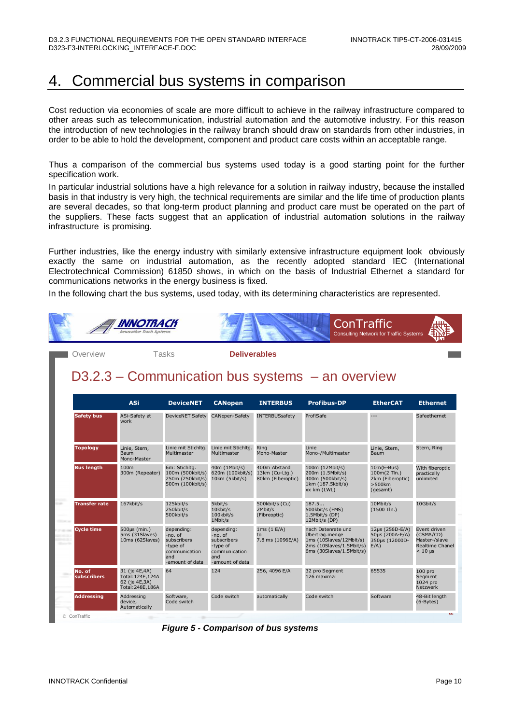### 4. Commercial bus systems in comparison

Cost reduction via economies of scale are more difficult to achieve in the railway infrastructure compared to other areas such as telecommunication, industrial automation and the automotive industry. For this reason the introduction of new technologies in the railway branch should draw on standards from other industries, in order to be able to hold the development, component and product care costs within an acceptable range.

Thus a comparison of the commercial bus systems used today is a good starting point for the further specification work.

In particular industrial solutions have a high relevance for a solution in railway industry, because the installed basis in that industry is very high, the technical requirements are similar and the life time of production plants are several decades, so that long-term product planning and product care must be operated on the part of the suppliers. These facts suggest that an application of industrial automation solutions in the railway infrastructure is promising.

Further industries, like the energy industry with similarly extensive infrastructure equipment look obviously exactly the same on industrial automation, as the recently adopted standard IEC (International Electrotechnical Commission) 61850 shows, in which on the basis of Industrial Ethernet a standard for communications networks in the energy business is fixed.

In the following chart the bus systems, used today, with its determining characteristics are represented.



#### D3.2.3 – Communication bus systems – an overview

|                       | <b>ASi</b>                                                                | <b>DeviceNET</b>                                                                            | <b>CANopen</b>                                                                              | <b>INTERBUS</b>                                     | <b>Profibus-DP</b>                                                                                                      | <b>EtherCAT</b>                                                           | <b>Ethernet</b>                                                                             |
|-----------------------|---------------------------------------------------------------------------|---------------------------------------------------------------------------------------------|---------------------------------------------------------------------------------------------|-----------------------------------------------------|-------------------------------------------------------------------------------------------------------------------------|---------------------------------------------------------------------------|---------------------------------------------------------------------------------------------|
| <b>Safety bus</b>     | ASi-Safety at<br>work                                                     | <b>DeviceNET Safety</b>                                                                     | CANopen-Safety                                                                              | <b>INTERBUSsafety</b>                               | ProfiSafe                                                                                                               | $\overline{a}$                                                            | Safeethernet                                                                                |
| <b>Topology</b>       | Linie, Stern,<br>Baum<br>Mono-Master                                      | Linie mit Stichlta.<br>Multimaster                                                          | Linie mit Stichlta.<br>Multimaster                                                          | Ring<br>Mono-Master                                 | Linie<br>Mono-/Multimaster                                                                                              | Linie, Stern,<br>Baum                                                     | Stern, Ring                                                                                 |
| <b>Bus length</b>     | 100m<br>300m (Repeater)                                                   | 6m: Stichltg.<br>100m (500kbit/s)<br>250m (250kbit/s)<br>500m (100kbit/s)                   | 40m (1Mbit/s)<br>620m (100kbit/s)<br>10km (5kbit/s)                                         | 400m Abstand<br>13km (Cu-Ltg.)<br>80km (Fiberoptic) | 100m (12Mbit/s)<br>200m (1.5Mbit/s)<br>400m (500kbit/s)<br>1km (187.5kbit/s)<br>xx km (LWL)                             | $10m(E-Bus)$<br>100m(2 Tln.)<br>2km (Fiberoptic)<br>$>500$ km<br>(gesamt) | With fiberoptic<br>practically<br>unlimited                                                 |
| <b>Transfer rate</b>  | 167kbit/s                                                                 | 125kbit/s<br>250kbit/s<br>500kbit/s                                                         | 5kbit/s<br>10kbit/s<br>100kbit/s<br>1Mbit/s                                                 | 500kbit/s (Cu)<br>2Mbit/s<br>(Fibreoptic)           | 187.5<br>500kbit/s (FMS)<br>1.5Mbit/s (DP)<br>12Mbit/s (DP)                                                             | 10Mbit/s<br>$(1500$ Tln.)                                                 | 10Gbit/s                                                                                    |
| <b>Cycle time</b>     | $500\mu s$ (min.)<br>5ms (31Slaves)<br>10ms (62Slaves)                    | depending:<br>-no. of<br>subscribers<br>-type of<br>communication<br>and<br>-amount of data | depending:<br>-no. of<br>subscribers<br>-type of<br>communication<br>and<br>-amount of data | 1ms(1 E/A)<br>to<br>7.8 ms (1096E/A)                | nach Datenrate und<br>Übertrag.menge<br>1ms (10Slaves/12Mbit/s)<br>2ms (10Slaves/1.5Mbit/s)<br>6ms (30Slaves/1.5Mbit/s) | 12µs (256D-E/A)<br>50µs (200A-E/A)<br>350µs (12000D-<br>$E/A$ )           | Event driven<br>(CSMA/CD)<br>Master-/slave<br>Realtime Chanel<br>$< 10 \text{ }\mu\text{s}$ |
| No. of<br>subscribers | 31 (je 4E,4A)<br>Total: 124E, 124A<br>62 (je 4E, 3A)<br>Total: 248E, 186A | 64                                                                                          | 124                                                                                         | 256, 4096 E/A                                       | 32 pro Segment<br>126 maximal                                                                                           | 65535                                                                     | 100 <sub>pro</sub><br>Segment<br>1024 pro<br><b>Netzwerk</b>                                |
| <b>Addressing</b>     | Addressing<br>device,<br>Automatically                                    | Software,<br>Code switch                                                                    | Code switch                                                                                 | automatically                                       | Code switch                                                                                                             | Software                                                                  | 48-Bit length<br>$(6-Bytes)$                                                                |

**Figure 5 - Comparison of bus systems**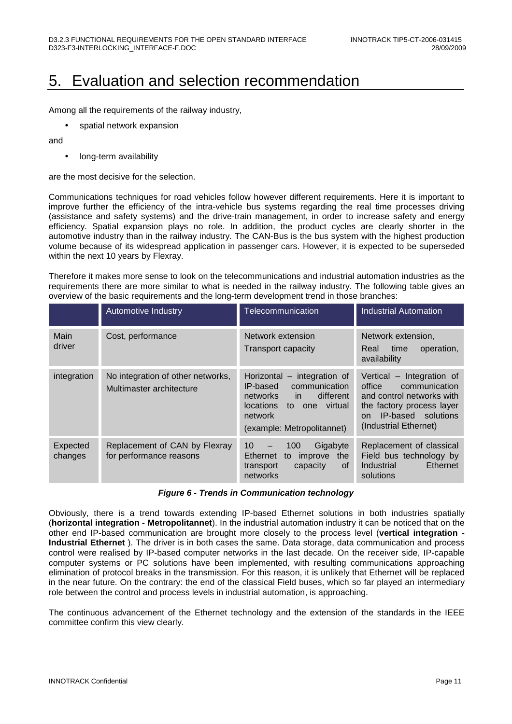### 5. Evaluation and selection recommendation

Among all the requirements of the railway industry,

• spatial network expansion

and

• long-term availability

are the most decisive for the selection.

Communications techniques for road vehicles follow however different requirements. Here it is important to improve further the efficiency of the intra-vehicle bus systems regarding the real time processes driving (assistance and safety systems) and the drive-train management, in order to increase safety and energy efficiency. Spatial expansion plays no role. In addition, the product cycles are clearly shorter in the automotive industry than in the railway industry. The CAN-Bus is the bus system with the highest production volume because of its widespread application in passenger cars. However, it is expected to be superseded within the next 10 years by Flexray.

Therefore it makes more sense to look on the telecommunications and industrial automation industries as the requirements there are more similar to what is needed in the railway industry. The following table gives an overview of the basic requirements and the long-term development trend in those branches:

|                     | Automotive Industry                                           | Telecommunication                                                                                                                                               | <b>Industrial Automation</b>                                                                                                                                        |
|---------------------|---------------------------------------------------------------|-----------------------------------------------------------------------------------------------------------------------------------------------------------------|---------------------------------------------------------------------------------------------------------------------------------------------------------------------|
| Main<br>driver      | Cost, performance                                             | Network extension<br>Transport capacity                                                                                                                         | Network extension.<br>time<br>Real<br>operation,<br>availability                                                                                                    |
| integration         | No integration of other networks,<br>Multimaster architecture | Horizontal – integration of<br>communication<br>IP-based<br>different<br>networks in<br>locations<br>one virtual<br>to<br>network<br>(example: Metropolitannet) | Vertical - Integration of<br>communication<br>office<br>and control networks with<br>the factory process layer<br>IP-based solutions<br>on<br>(Industrial Ethernet) |
| Expected<br>changes | Replacement of CAN by Flexray<br>for performance reasons      | 10 <sup>1</sup><br>100<br>Gigabyte<br>$\qquad \qquad -$<br>Ethernet<br>to<br>improve<br>the<br>transport<br>capacity<br>0f<br>networks                          | Replacement of classical<br>Field bus technology by<br>Ethernet<br>Industrial<br>solutions                                                                          |

#### **Figure 6 - Trends in Communication technology**

Obviously, there is a trend towards extending IP-based Ethernet solutions in both industries spatially (**horizontal integration - Metropolitannet**). In the industrial automation industry it can be noticed that on the other end IP-based communication are brought more closely to the process level (**vertical integration - Industrial Ethernet** ). The driver is in both cases the same. Data storage, data communication and process control were realised by IP-based computer networks in the last decade. On the receiver side, IP-capable computer systems or PC solutions have been implemented, with resulting communications approaching elimination of protocol breaks in the transmission. For this reason, it is unlikely that Ethernet will be replaced in the near future. On the contrary: the end of the classical Field buses, which so far played an intermediary role between the control and process levels in industrial automation, is approaching.

The continuous advancement of the Ethernet technology and the extension of the standards in the IEEE committee confirm this view clearly.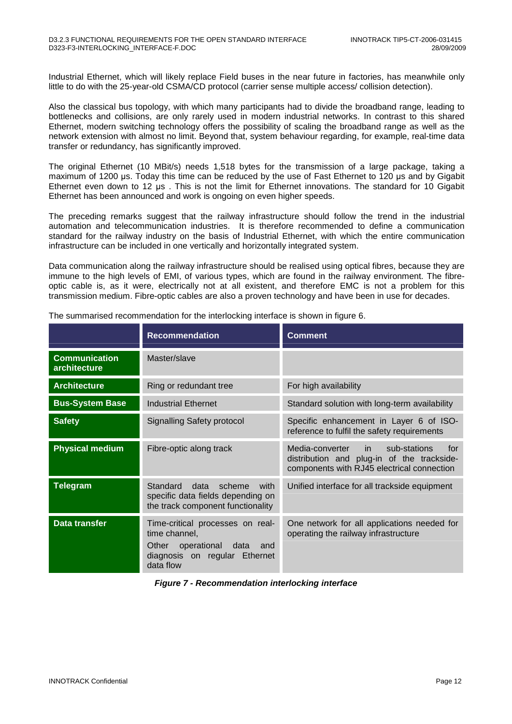Industrial Ethernet, which will likely replace Field buses in the near future in factories, has meanwhile only little to do with the 25-year-old CSMA/CD protocol (carrier sense multiple access/ collision detection).

Also the classical bus topology, with which many participants had to divide the broadband range, leading to bottlenecks and collisions, are only rarely used in modern industrial networks. In contrast to this shared Ethernet, modern switching technology offers the possibility of scaling the broadband range as well as the network extension with almost no limit. Beyond that, system behaviour regarding, for example, real-time data transfer or redundancy, has significantly improved.

The original Ethernet (10 MBit/s) needs 1,518 bytes for the transmission of a large package, taking a maximum of 1200 µs. Today this time can be reduced by the use of Fast Ethernet to 120 µs and by Gigabit Ethernet even down to 12 µs . This is not the limit for Ethernet innovations. The standard for 10 Gigabit Ethernet has been announced and work is ongoing on even higher speeds.

The preceding remarks suggest that the railway infrastructure should follow the trend in the industrial automation and telecommunication industries. It is therefore recommended to define a communication standard for the railway industry on the basis of Industrial Ethernet, with which the entire communication infrastructure can be included in one vertically and horizontally integrated system.

Data communication along the railway infrastructure should be realised using optical fibres, because they are immune to the high levels of EMI, of various types, which are found in the railway environment. The fibreoptic cable is, as it were, electrically not at all existent, and therefore EMC is not a problem for this transmission medium. Fibre-optic cables are also a proven technology and have been in use for decades.

|                                      | <b>Recommendation</b>                                                                                                               | <b>Comment</b>                                                                                                                     |
|--------------------------------------|-------------------------------------------------------------------------------------------------------------------------------------|------------------------------------------------------------------------------------------------------------------------------------|
| <b>Communication</b><br>architecture | Master/slave                                                                                                                        |                                                                                                                                    |
| <b>Architecture</b>                  | Ring or redundant tree                                                                                                              | For high availability                                                                                                              |
| <b>Bus-System Base</b>               | Industrial Ethernet                                                                                                                 | Standard solution with long-term availability                                                                                      |
| <b>Safety</b>                        | Signalling Safety protocol                                                                                                          | Specific enhancement in Layer 6 of ISO-<br>reference to fulfil the safety requirements                                             |
| <b>Physical medium</b>               | Fibre-optic along track                                                                                                             | Media-converter in sub-stations<br>for<br>distribution and plug-in of the trackside-<br>components with RJ45 electrical connection |
| <b>Telegram</b>                      | Standard<br>data<br>scheme<br>with<br>specific data fields depending on<br>the track component functionality                        | Unified interface for all trackside equipment                                                                                      |
| <b>Data transfer</b>                 | Time-critical processes on real-<br>time channel,<br>Other<br>operational data<br>and<br>diagnosis on regular Ethernet<br>data flow | One network for all applications needed for<br>operating the railway infrastructure                                                |

The summarised recommendation for the interlocking interface is shown in figure 6.

**Figure 7 - Recommendation interlocking interface**